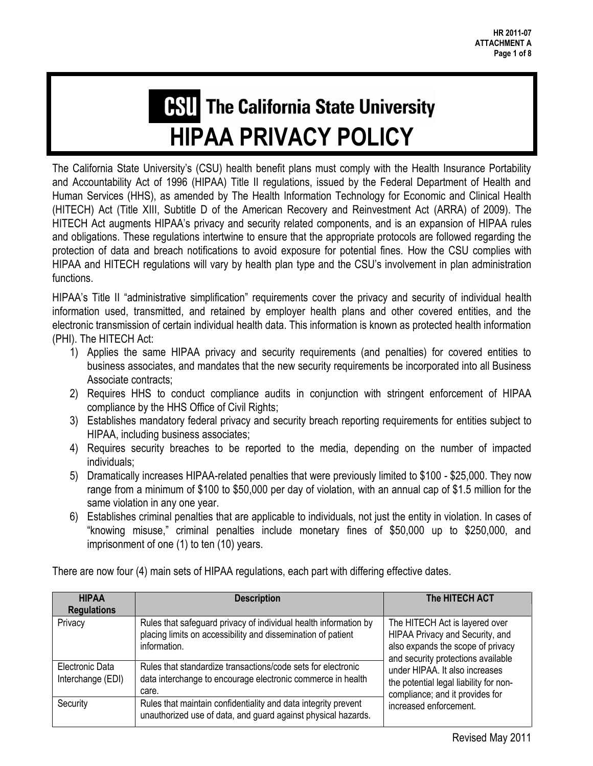# **CSU** The California State University **HIPAA PRIVACY POLICY**

The California State University's (CSU) health benefit plans must comply with the Health Insurance Portability and Accountability Act of 1996 (HIPAA) Title II regulations, issued by the Federal Department of Health and Human Services (HHS), as amended by The Health Information Technology for Economic and Clinical Health (HITECH) Act (Title XIII, Subtitle D of the American Recovery and Reinvestment Act (ARRA) of 2009). The HITECH Act augments HIPAA's privacy and security related components, and is an expansion of HIPAA rules and obligations. These regulations intertwine to ensure that the appropriate protocols are followed regarding the protection of data and breach notifications to avoid exposure for potential fines. How the CSU complies with HIPAA and HITECH regulations will vary by health plan type and the CSU's involvement in plan administration functions.

HIPAA's Title II "administrative simplification" requirements cover the privacy and security of individual health information used, transmitted, and retained by employer health plans and other covered entities, and the electronic transmission of certain individual health data. This information is known as protected health information (PHI). The HITECH Act:

- 1) Applies the same HIPAA privacy and security requirements (and penalties) for covered entities to business associates, and mandates that the new security requirements be incorporated into all Business Associate contracts;
- 2) Requires HHS to conduct compliance audits in conjunction with stringent enforcement of HIPAA compliance by the HHS Office of Civil Rights;
- 3) Establishes mandatory federal privacy and security breach reporting requirements for entities subject to HIPAA, including business associates;
- 4) Requires security breaches to be reported to the media, depending on the number of impacted individuals;
- 5) Dramatically increases HIPAA-related penalties that were previously limited to \$100 \$25,000. They now range from a minimum of \$100 to \$50,000 per day of violation, with an annual cap of \$1.5 million for the same violation in any one year.
- 6) Establishes criminal penalties that are applicable to individuals, not just the entity in violation. In cases of "knowing misuse," criminal penalties include monetary fines of \$50,000 up to \$250,000, and imprisonment of one (1) to ten (10) years.

| <b>HIPAA</b>                         | <b>Description</b>                                                                                                                               | The HITECH ACT                                                                                                                                                                                                                                                                        |  |
|--------------------------------------|--------------------------------------------------------------------------------------------------------------------------------------------------|---------------------------------------------------------------------------------------------------------------------------------------------------------------------------------------------------------------------------------------------------------------------------------------|--|
| <b>Regulations</b>                   |                                                                                                                                                  |                                                                                                                                                                                                                                                                                       |  |
| Privacy                              | Rules that safeguard privacy of individual health information by<br>placing limits on accessibility and dissemination of patient<br>information. | The HITECH Act is layered over<br>HIPAA Privacy and Security, and<br>also expands the scope of privacy<br>and security protections available<br>under HIPAA. It also increases<br>the potential legal liability for non-<br>compliance; and it provides for<br>increased enforcement. |  |
| Electronic Data<br>Interchange (EDI) | Rules that standardize transactions/code sets for electronic<br>data interchange to encourage electronic commerce in health<br>care.             |                                                                                                                                                                                                                                                                                       |  |
| Security                             | Rules that maintain confidentiality and data integrity prevent<br>unauthorized use of data, and guard against physical hazards.                  |                                                                                                                                                                                                                                                                                       |  |

There are now four (4) main sets of HIPAA regulations, each part with differing effective dates.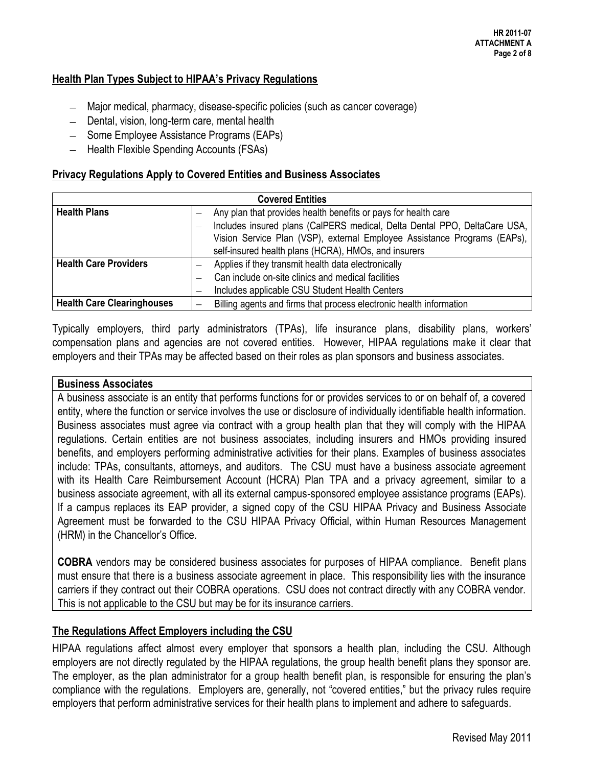## **Health Plan Types Subject to HIPAA's Privacy Regulations**

- Major medical, pharmacy, disease-specific policies (such as cancer coverage)
- Dental, vision, long-term care, mental health
- Some Employee Assistance Programs (EAPs)
- $-$  Health Flexible Spending Accounts (FSAs)

#### **Privacy Regulations Apply to Covered Entities and Business Associates**

| <b>Covered Entities</b>           |                                                                |                                                                           |  |  |
|-----------------------------------|----------------------------------------------------------------|---------------------------------------------------------------------------|--|--|
| <b>Health Plans</b>               | Any plan that provides health benefits or pays for health care |                                                                           |  |  |
|                                   |                                                                | Includes insured plans (CalPERS medical, Delta Dental PPO, DeltaCare USA, |  |  |
|                                   |                                                                | Vision Service Plan (VSP), external Employee Assistance Programs (EAPs),  |  |  |
|                                   |                                                                | self-insured health plans (HCRA), HMOs, and insurers                      |  |  |
| <b>Health Care Providers</b>      |                                                                | Applies if they transmit health data electronically                       |  |  |
|                                   |                                                                | Can include on-site clinics and medical facilities                        |  |  |
|                                   |                                                                | Includes applicable CSU Student Health Centers                            |  |  |
| <b>Health Care Clearinghouses</b> |                                                                | Billing agents and firms that process electronic health information       |  |  |

Typically employers, third party administrators (TPAs), life insurance plans, disability plans, workers' compensation plans and agencies are not covered entities. However, HIPAA regulations make it clear that employers and their TPAs may be affected based on their roles as plan sponsors and business associates.

#### **Business Associates**

A business associate is an entity that performs functions for or provides services to or on behalf of, a covered entity, where the function or service involves the use or disclosure of individually identifiable health information. Business associates must agree via contract with a group health plan that they will comply with the HIPAA regulations. Certain entities are not business associates, including insurers and HMOs providing insured benefits, and employers performing administrative activities for their plans. Examples of business associates include: TPAs, consultants, attorneys, and auditors. The CSU must have a business associate agreement with its Health Care Reimbursement Account (HCRA) Plan TPA and a privacy agreement, similar to a business associate agreement, with all its external campus-sponsored employee assistance programs (EAPs). If a campus replaces its EAP provider, a signed copy of the CSU HIPAA Privacy and Business Associate Agreement must be forwarded to the CSU HIPAA Privacy Official, within Human Resources Management (HRM) in the Chancellor's Office.

**COBRA** vendors may be considered business associates for purposes of HIPAA compliance. Benefit plans must ensure that there is a business associate agreement in place. This responsibility lies with the insurance carriers if they contract out their COBRA operations. CSU does not contract directly with any COBRA vendor. This is not applicable to the CSU but may be for its insurance carriers.

#### **The Regulations Affect Employers including the CSU**

HIPAA regulations affect almost every employer that sponsors a health plan, including the CSU. Although employers are not directly regulated by the HIPAA regulations, the group health benefit plans they sponsor are. The employer, as the plan administrator for a group health benefit plan, is responsible for ensuring the plan's compliance with the regulations. Employers are, generally, not "covered entities," but the privacy rules require employers that perform administrative services for their health plans to implement and adhere to safeguards.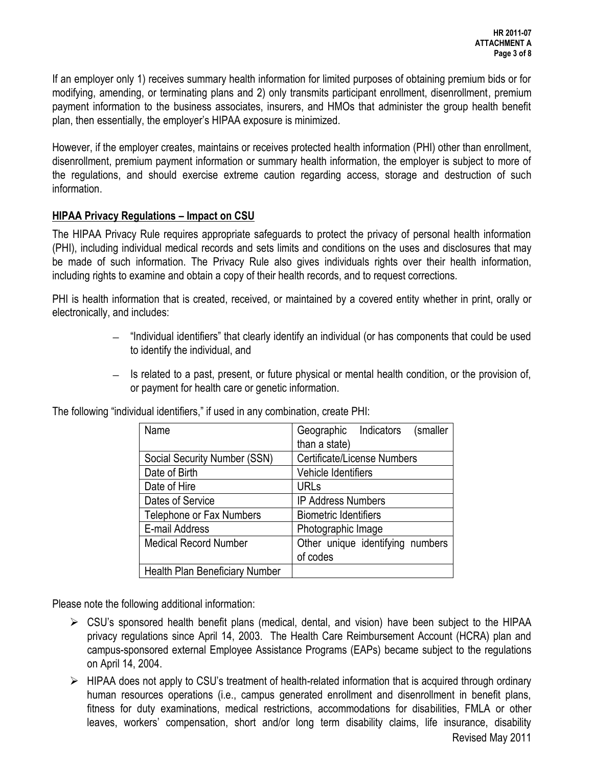If an employer only 1) receives summary health information for limited purposes of obtaining premium bids or for modifying, amending, or terminating plans and 2) only transmits participant enrollment, disenrollment, premium payment information to the business associates, insurers, and HMOs that administer the group health benefit plan, then essentially, the employer's HIPAA exposure is minimized.

However, if the employer creates, maintains or receives protected health information (PHI) other than enrollment, disenrollment, premium payment information or summary health information, the employer is subject to more of the regulations, and should exercise extreme caution regarding access, storage and destruction of such information.

#### **HIPAA Privacy Regulations – Impact on CSU**

The HIPAA Privacy Rule requires appropriate safeguards to protect the privacy of personal health information (PHI), including individual medical records and sets limits and conditions on the uses and disclosures that may be made of such information. The Privacy Rule also gives individuals rights over their health information, including rights to examine and obtain a copy of their health records, and to request corrections.

PHI is health information that is created, received, or maintained by a covered entity whether in print, orally or electronically, and includes:

- $-$  "Individual identifiers" that clearly identify an individual (or has components that could be used to identify the individual, and
- $-$  Is related to a past, present, or future physical or mental health condition, or the provision of, or payment for health care or genetic information.

| Name                                  | Geographic Indicators (smaller   |
|---------------------------------------|----------------------------------|
|                                       | than a state)                    |
| Social Security Number (SSN)          | Certificate/License Numbers      |
| Date of Birth                         | Vehicle Identifiers              |
| Date of Hire                          | <b>URLs</b>                      |
| Dates of Service                      | <b>IP Address Numbers</b>        |
| Telephone or Fax Numbers              | <b>Biometric Identifiers</b>     |
| E-mail Address                        | Photographic Image               |
| <b>Medical Record Number</b>          | Other unique identifying numbers |
|                                       | of codes                         |
| <b>Health Plan Beneficiary Number</b> |                                  |

The following "individual identifiers," if used in any combination, create PHI:

Please note the following additional information:

- $\triangleright$  CSU's sponsored health benefit plans (medical, dental, and vision) have been subject to the HIPAA privacy regulations since April 14, 2003. The Health Care Reimbursement Account (HCRA) plan and campus-sponsored external Employee Assistance Programs (EAPs) became subject to the regulations on April 14, 2004.
- $\triangleright$  HIPAA does not apply to CSU's treatment of health-related information that is acquired through ordinary human resources operations (i.e., campus generated enrollment and disenrollment in benefit plans, fitness for duty examinations, medical restrictions, accommodations for disabilities, FMLA or other leaves, workers' compensation, short and/or long term disability claims, life insurance, disability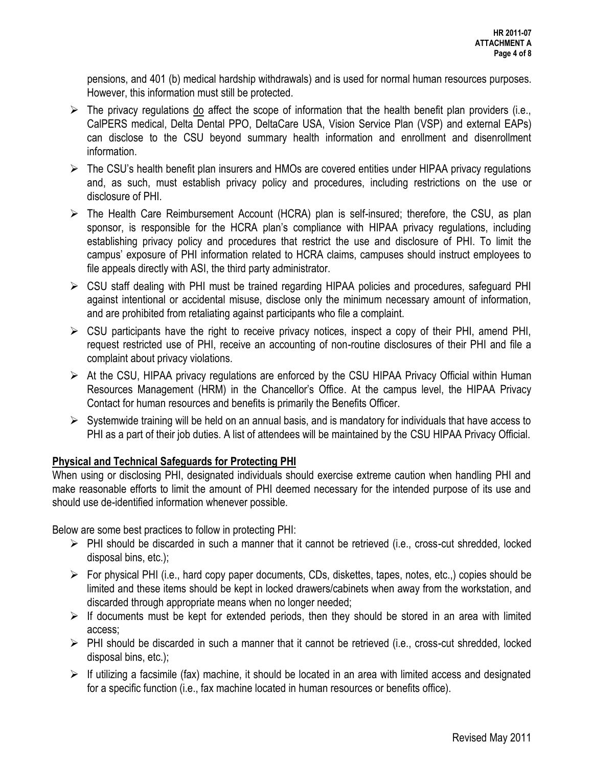pensions, and 401 (b) medical hardship withdrawals) and is used for normal human resources purposes. However, this information must still be protected.

- $\triangleright$  The privacy regulations do affect the scope of information that the health benefit plan providers (i.e., CalPERS medical, Delta Dental PPO, DeltaCare USA, Vision Service Plan (VSP) and external EAPs) can disclose to the CSU beyond summary health information and enrollment and disenrollment information.
- $\triangleright$  The CSU's health benefit plan insurers and HMOs are covered entities under HIPAA privacy regulations and, as such, must establish privacy policy and procedures, including restrictions on the use or disclosure of PHI.
- $\triangleright$  The Health Care Reimbursement Account (HCRA) plan is self-insured; therefore, the CSU, as plan sponsor, is responsible for the HCRA plan's compliance with HIPAA privacy regulations, including establishing privacy policy and procedures that restrict the use and disclosure of PHI. To limit the campus' exposure of PHI information related to HCRA claims, campuses should instruct employees to file appeals directly with ASI, the third party administrator.
- CSU staff dealing with PHI must be trained regarding HIPAA policies and procedures, safeguard PHI against intentional or accidental misuse, disclose only the minimum necessary amount of information, and are prohibited from retaliating against participants who file a complaint.
- $\triangleright$  CSU participants have the right to receive privacy notices, inspect a copy of their PHI, amend PHI, request restricted use of PHI, receive an accounting of non-routine disclosures of their PHI and file a complaint about privacy violations.
- $\triangleright$  At the CSU, HIPAA privacy regulations are enforced by the CSU HIPAA Privacy Official within Human Resources Management (HRM) in the Chancellor's Office. At the campus level, the HIPAA Privacy Contact for human resources and benefits is primarily the Benefits Officer.
- $\triangleright$  Systemwide training will be held on an annual basis, and is mandatory for individuals that have access to PHI as a part of their job duties. A list of attendees will be maintained by the CSU HIPAA Privacy Official.

# **Physical and Technical Safeguards for Protecting PHI**

When using or disclosing PHI, designated individuals should exercise extreme caution when handling PHI and make reasonable efforts to limit the amount of PHI deemed necessary for the intended purpose of its use and should use de-identified information whenever possible.

Below are some best practices to follow in protecting PHI:

- $\triangleright$  PHI should be discarded in such a manner that it cannot be retrieved (i.e., cross-cut shredded, locked disposal bins, etc.);
- $\triangleright$  For physical PHI (i.e., hard copy paper documents, CDs, diskettes, tapes, notes, etc.,) copies should be limited and these items should be kept in locked drawers/cabinets when away from the workstation, and discarded through appropriate means when no longer needed;
- $\triangleright$  If documents must be kept for extended periods, then they should be stored in an area with limited access;
- $\triangleright$  PHI should be discarded in such a manner that it cannot be retrieved (i.e., cross-cut shredded, locked disposal bins, etc.);
- $\triangleright$  If utilizing a facsimile (fax) machine, it should be located in an area with limited access and designated for a specific function (i.e., fax machine located in human resources or benefits office).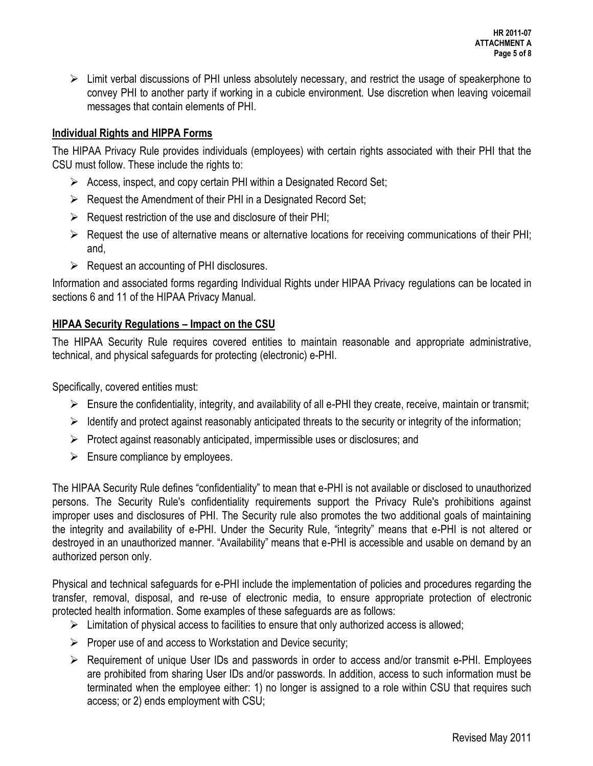$\triangleright$  Limit verbal discussions of PHI unless absolutely necessary, and restrict the usage of speakerphone to convey PHI to another party if working in a cubicle environment. Use discretion when leaving voicemail messages that contain elements of PHI.

## **Individual Rights and HIPPA Forms**

The HIPAA Privacy Rule provides individuals (employees) with certain rights associated with their PHI that the CSU must follow. These include the rights to:

- $\triangleright$  Access, inspect, and copy certain PHI within a Designated Record Set;
- $\triangleright$  Request the Amendment of their PHI in a Designated Record Set;
- $\triangleright$  Request restriction of the use and disclosure of their PHI;
- $\triangleright$  Request the use of alternative means or alternative locations for receiving communications of their PHI; and,
- $\triangleright$  Request an accounting of PHI disclosures.

Information and associated forms regarding Individual Rights under HIPAA Privacy regulations can be located in sections 6 and 11 of the HIPAA Privacy Manual.

# **HIPAA Security Regulations – Impact on the CSU**

The HIPAA Security Rule requires covered entities to maintain reasonable and appropriate administrative, technical, and physical safeguards for protecting (electronic) e-PHI.

Specifically, covered entities must:

- $\triangleright$  Ensure the confidentiality, integrity, and availability of all e-PHI they create, receive, maintain or transmit;
- $\triangleright$  Identify and protect against reasonably anticipated threats to the security or integrity of the information;
- $\triangleright$  Protect against reasonably anticipated, impermissible uses or disclosures; and
- $\triangleright$  Ensure compliance by employees.

The HIPAA Security Rule defines "confidentiality" to mean that e-PHI is not available or disclosed to unauthorized persons. The Security Rule's confidentiality requirements support the Privacy Rule's prohibitions against improper uses and disclosures of PHI. The Security rule also promotes the two additional goals of maintaining the integrity and availability of e-PHI. Under the Security Rule, "integrity" means that e-PHI is not altered or destroyed in an unauthorized manner. "Availability" means that e-PHI is accessible and usable on demand by an authorized person only.

Physical and technical safeguards for e-PHI include the implementation of policies and procedures regarding the transfer, removal, disposal, and re-use of electronic media, to ensure appropriate protection of electronic protected health information. Some examples of these safeguards are as follows:

- $\triangleright$  Limitation of physical access to facilities to ensure that only authorized access is allowed;
- $\triangleright$  Proper use of and access to Workstation and Device security;
- $\triangleright$  Requirement of unique User IDs and passwords in order to access and/or transmit e-PHI. Employees are prohibited from sharing User IDs and/or passwords. In addition, access to such information must be terminated when the employee either: 1) no longer is assigned to a role within CSU that requires such access; or 2) ends employment with CSU;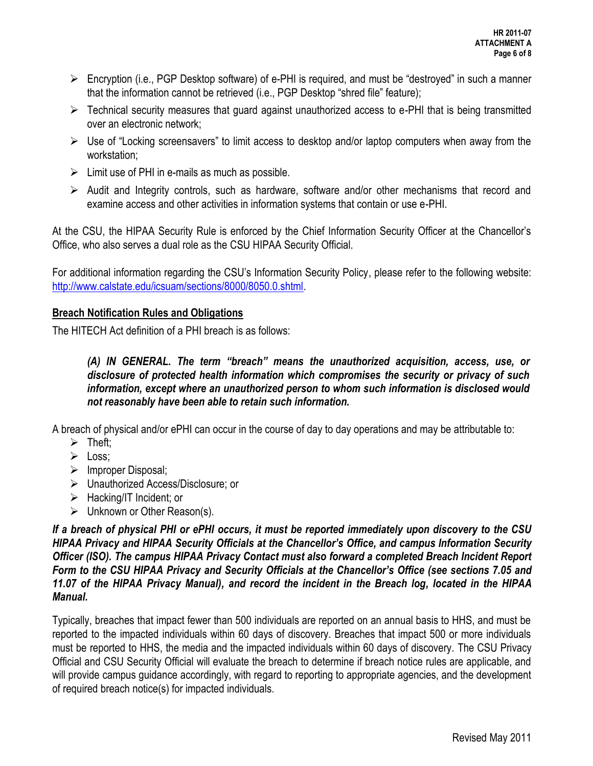- $\triangleright$  Encryption (i.e., PGP Desktop software) of e-PHI is required, and must be "destroyed" in such a manner that the information cannot be retrieved (i.e., PGP Desktop "shred file" feature);
- $\triangleright$  Technical security measures that guard against unauthorized access to e-PHI that is being transmitted over an electronic network;
- $\triangleright$  Use of "Locking screensavers" to limit access to desktop and/or laptop computers when away from the workstation;
- $\triangleright$  Limit use of PHI in e-mails as much as possible.
- $\triangleright$  Audit and Integrity controls, such as hardware, software and/or other mechanisms that record and examine access and other activities in information systems that contain or use e-PHI.

At the CSU, the HIPAA Security Rule is enforced by the Chief Information Security Officer at the Chancellor's Office, who also serves a dual role as the CSU HIPAA Security Official.

For additional information regarding the CSU's Information Security Policy, please refer to the following website: [http://www.calstate.edu/icsuam/sections/8000/8050.0.shtml.](http://www.calstate.edu/icsuam/sections/8000/8050.0.shtml)

#### **Breach Notification Rules and Obligations**

The HITECH Act definition of a PHI breach is as follows:

*(A) IN GENERAL. The term "breach" means the unauthorized acquisition, access, use, or disclosure of protected health information which compromises the security or privacy of such information, except where an unauthorized person to whom such information is disclosed would not reasonably have been able to retain such information.* 

A breach of physical and/or ePHI can occur in the course of day to day operations and may be attributable to:

- $\triangleright$  Theft:
- $\triangleright$  Loss:
- $\triangleright$  Improper Disposal;
- Unauthorized Access/Disclosure; or
- > Hacking/IT Incident: or
- > Unknown or Other Reason(s).

*If a breach of physical PHI or ePHI occurs, it must be reported immediately upon discovery to the CSU HIPAA Privacy and HIPAA Security Officials at the Chancellor's Office, and campus Information Security Officer (ISO). The campus HIPAA Privacy Contact must also forward a completed Breach Incident Report Form to the CSU HIPAA Privacy and Security Officials at the Chancellor's Office (see sections 7.05 and 11.07 of the HIPAA Privacy Manual), and record the incident in the Breach log, located in the HIPAA Manual.* 

Typically, breaches that impact fewer than 500 individuals are reported on an annual basis to HHS, and must be reported to the impacted individuals within 60 days of discovery. Breaches that impact 500 or more individuals must be reported to HHS, the media and the impacted individuals within 60 days of discovery. The CSU Privacy Official and CSU Security Official will evaluate the breach to determine if breach notice rules are applicable, and will provide campus guidance accordingly, with regard to reporting to appropriate agencies, and the development of required breach notice(s) for impacted individuals.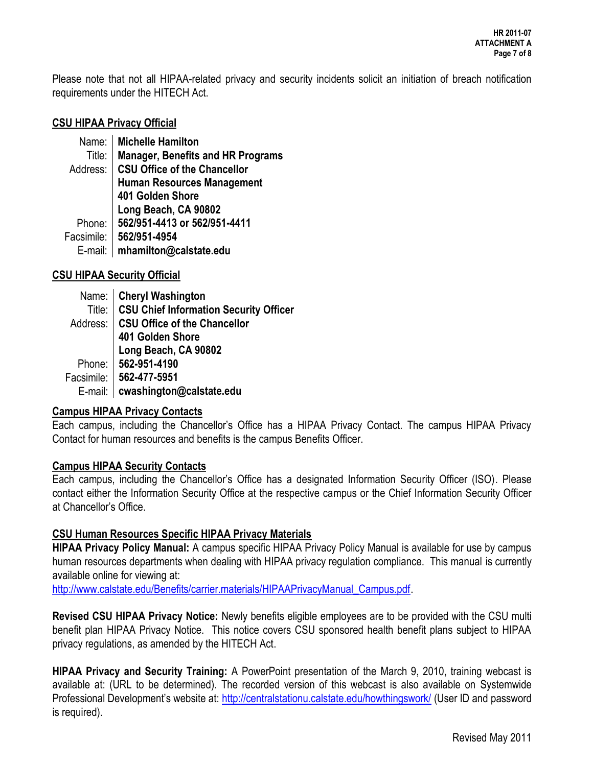Please note that not all HIPAA-related privacy and security incidents solicit an initiation of breach notification requirements under the HITECH Act.

#### **CSU HIPAA Privacy Official**

Name: **Michelle Hamilton**  Title: **Manager, Benefits and HR Programs**  Address: **CSU Office of the Chancellor Human Resources Management 401 Golden Shore Long Beach, CA 90802**  Phone: **562/951-4413 or 562/951-4411**  Facsimile: **562/951-4954**  E-mail: **mhamilton@calstate.edu** 

# **CSU HIPAA Security Official**

| Name: Cheryl Washington<br>Title: CSU Chief Information Security Officer                                  |
|-----------------------------------------------------------------------------------------------------------|
| Address: CSU Office of the Chancellor<br>401 Golden Shore<br>Elong Beach, CA 90802<br>Phone: 562-951-4190 |
|                                                                                                           |
|                                                                                                           |
|                                                                                                           |
| Facsimile: 562-477-5951                                                                                   |
| E-mail:   cwashington@calstate.edu                                                                        |
|                                                                                                           |

#### **Campus HIPAA Privacy Contacts**

Each campus, including the Chancellor's Office has a HIPAA Privacy Contact. The campus HIPAA Privacy Contact for human resources and benefits is the campus Benefits Officer.

#### **Campus HIPAA Security Contacts**

Each campus, including the Chancellor's Office has a designated Information Security Officer (ISO). Please contact either the Information Security Office at the respective campus or the Chief Information Security Officer at Chancellor's Office.

# **CSU Human Resources Specific HIPAA Privacy Materials**

**HIPAA Privacy Policy Manual:** A campus specific HIPAA Privacy Policy Manual is available for use by campus human resources departments when dealing with HIPAA privacy regulation compliance. This manual is currently available online for viewing at:

[http://www.calstate.edu/Benefits/carrier.materials/HIPAAPrivacyManual\\_Campus.pdf.](http://www.calstate.edu/Benefits/carrier.materials/HIPAAPrivacyManual_Campus.pdf)

**Revised CSU HIPAA Privacy Notice:** Newly benefits eligible employees are to be provided with the CSU multi benefit plan HIPAA Privacy Notice. This notice covers CSU sponsored health benefit plans subject to HIPAA privacy regulations, as amended by the HITECH Act.

**HIPAA Privacy and Security Training:** A PowerPoint presentation of the March 9, 2010, training webcast is available at: (URL to be determined). The recorded version of this webcast is also available on Systemwide Professional Development's website at: <http://centralstationu.calstate.edu/howthingswork/>(User ID and password is required).